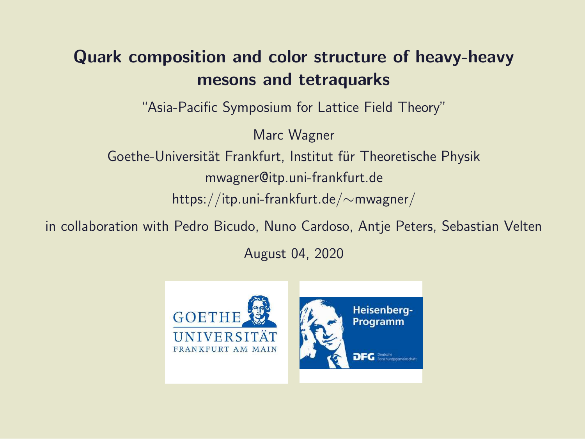#### Quark composition and color structure of heavy-heavy mesons and tetraquarks

"Asia-Pacific Symposium for Lattice Field Theory"

Marc Wagner Goethe-Universität Frankfurt, Institut für Theoretische Physik mwagner@itp.uni-frankfurt.de https://itp.uni-frankfurt.de/∼mwagner/

in collaboration with Pedro Bicudo, Nuno Cardoso, Antje Peters, Sebastian Velten

August 04, 2020

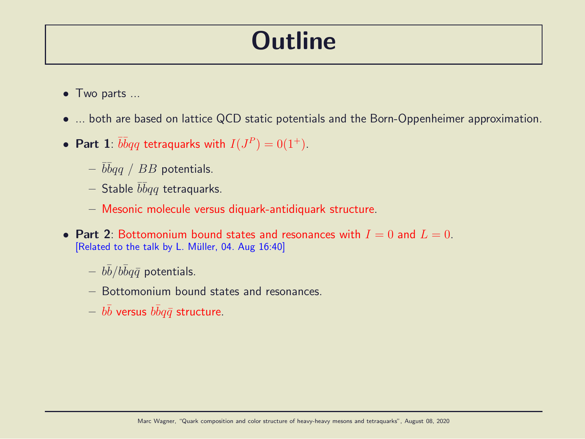### **Outline**

- Two parts ...
- ... both are based on lattice QCD static potentials and the Born-Oppenheimer approximation.
- Part 1:  $\overline{b} \overline{b} q q$  tetraquarks with  $I(J^P) = 0(1^+)$ .
	- $\bar b\bar b qq$  /  $BB$  potentials.
	- $-$  Stable  $\bar b\bar b qq$  tetraquarks.
	- Mesonic molecule versus diquark-antidiquark structure.
- Part 2: Bottomonium bound states and resonances with  $I = 0$  and  $L = 0$ . [Related to the talk by L. Müller, 04. Aug 16:40]
	- $-\,\,b\bar{b}/b\bar{b}q\bar{q}$  potentials.
	- Bottomonium bound states and resonances.
	- $-\,\,b\bar{b}$  versus  $b\bar{b}q\bar{q}$  structure.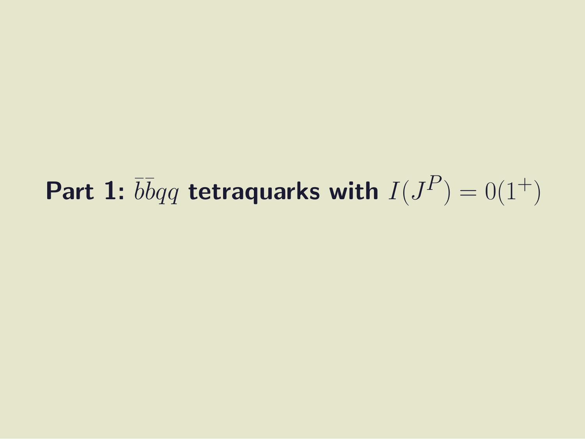# Part 1:  $\overline{b} \overline{b} q q$  tetraquarks with  $I(J^P) = 0(1^+)$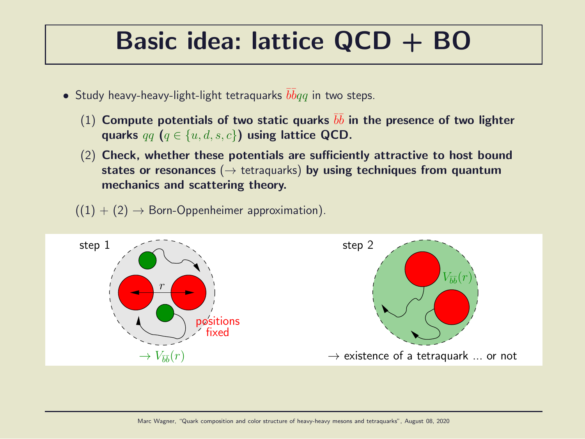### Basic idea: lattice QCD + BO

- $\bullet$  Study heavy-heavy-light-light tetraquarks  $\bar{b}\bar{b}qq$  in two steps.
	- (1) Compute potentials of two static quarks  $b\bar{b}$  in the presence of two lighter quarks  $qq$   $(q \in \{u, d, s, c\})$  using lattice QCD.
	- (2) Check, whether these potentials are sufficiently attractive to host bound states or resonances ( $\rightarrow$  tetraquarks) by using techniques from quantum mechanics and scattering theory.
	- $((1) + (2) \rightarrow$  Born-Oppenheimer approximation).

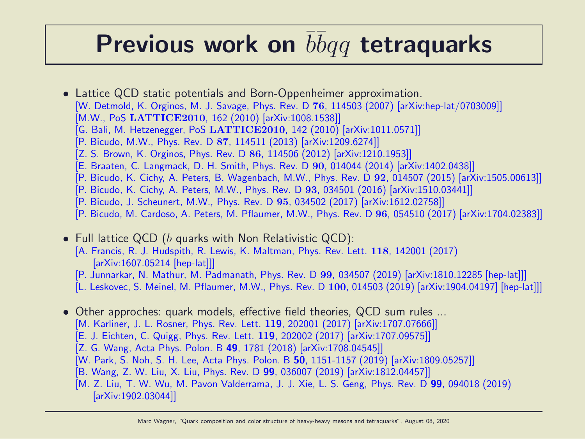## Previous work on  $\overline{b} \overline{b} q q$  tetraquarks

- Lattice QCD static potentials and Born-Oppenheimer approximation. [W. Detmold, K. Orginos, M. J. Savage, Phys. Rev. D 76, 114503 (2007) [arXiv:hep-lat/0703009]] [M.W., PoS LATTICE2010, 162 (2010) [arXiv:1008.1538]] [G. Bali, M. Hetzenegger, PoS LATTICE2010, 142 (2010) [arXiv:1011.0571]] [P. Bicudo, M.W., Phys. Rev. D 87, 114511 (2013) [arXiv:1209.6274]] [Z. S. Brown, K. Orginos, Phys. Rev. D 86, 114506 (2012) [arXiv:1210.1953]] [E. Braaten, C. Langmack, D. H. Smith, Phys. Rev. D 90, 014044 (2014) [arXiv:1402.0438]]
	- [P. Bicudo, K. Cichy, A. Peters, B. Wagenbach, M.W., Phys. Rev. D 92, 014507 (2015) [arXiv:1505.00613]]
	- [P. Bicudo, K. Cichy, A. Peters, M.W., Phys. Rev. D 93, 034501 (2016) [arXiv:1510.03441]]
	- [P. Bicudo, J. Scheunert, M.W., Phys. Rev. D 95, 034502 (2017) [arXiv:1612.02758]]
	- [P. Bicudo, M. Cardoso, A. Peters, M. Pflaumer, M.W., Phys. Rev. D 96, 054510 (2017) [arXiv:1704.02383]]
- Full lattice QCD ( $b$  quarks with Non Relativistic QCD): [A. Francis, R. J. Hudspith, R. Lewis, K. Maltman, Phys. Rev. Lett. 118, 142001 (2017) [arXiv:1607.05214 [hep-lat]]]
	- [P. Junnarkar, N. Mathur, M. Padmanath, Phys. Rev. D 99, 034507 (2019) [arXiv:1810.12285 [hep-lat]]]
	- [L. Leskovec, S. Meinel, M. Pflaumer, M.W., Phys. Rev. D 100, 014503 (2019) [arXiv:1904.04197] [hep-lat]]]
- Other approches: quark models, effective field theories, QCD sum rules ...
	- [M. Karliner, J. L. Rosner, Phys. Rev. Lett. 119, 202001 (2017) [arXiv:1707.07666]]
	- [E. J. Eichten, C. Quigg, Phys. Rev. Lett. 119, 202002 (2017) [arXiv:1707.09575]]
	- [Z. G. Wang, Acta Phys. Polon. B 49, 1781 (2018) [arXiv:1708.04545]]
	- [W. Park, S. Noh, S. H. Lee, Acta Phys. Polon. B 50, 1151-1157 (2019) [arXiv:1809.05257]]
	- [B. Wang, Z. W. Liu, X. Liu, Phys. Rev. D 99, 036007 (2019) [arXiv:1812.04457]]
	- [M. Z. Liu, T. W. Wu, M. Pavon Valderrama, J. J. Xie, L. S. Geng, Phys. Rev. D 99, 094018 (2019) [arXiv:1902.03044]]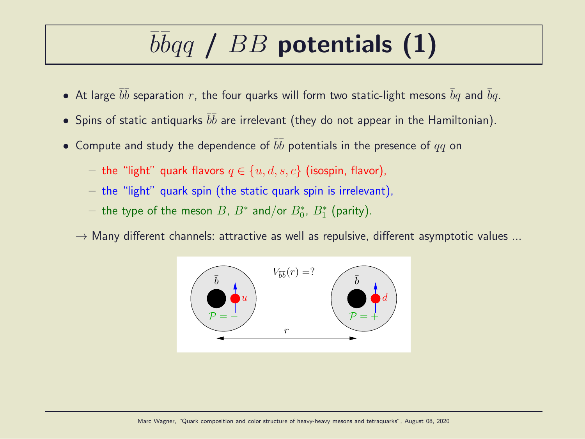# $b\bar{b}qq$  /  $BB$  potentials (1)

- $\bullet$  At large  $\bar{b}\bar{b}$  separation  $r$ , the four quarks will form two static-light mesons  $\bar{b}q$  and  $\bar{b}q$ .
- $\bullet$  Spins of static antiquarks  $\bar b \bar b$  are irrelevant (they do not appear in the Hamiltonian).
- $\bullet$  Compute and study the dependence of  $\bar{b}\bar{b}$  potentials in the presence of  $qq$  on
	- the "light" quark flavors  $q \in \{u, d, s, c\}$  (isospin, flavor),
	- the "light" quark spin (the static quark spin is irrelevant),
	- $-$  the type of the meson  $B$ ,  $B^*$  and/or  $B^*_0$ ,  $B^*_1$  (parity).
	- $\rightarrow$  Many different channels: attractive as well as repulsive, different asymptotic values ...

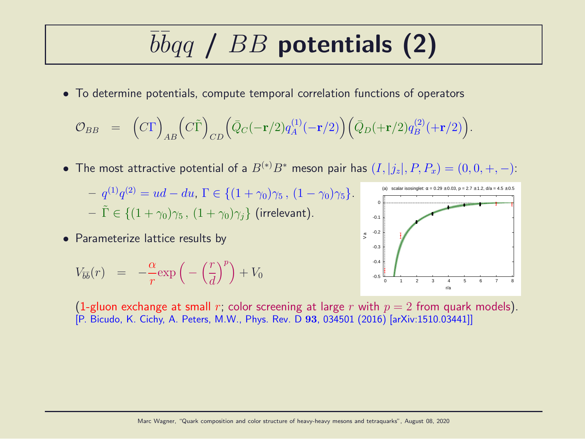# $b\bar{b}qq$  /  $BB$  potentials (2)

• To determine potentials, compute temporal correlation functions of operators

$$
\mathcal{O}_{BB} = (C\Gamma)_{AB} (C\tilde{\Gamma})_{CD} (\bar{Q}_C(-\mathbf{r}/2)q_A^{(1)}(-\mathbf{r}/2)) (\bar{Q}_D(+\mathbf{r}/2)q_B^{(2)}(+\mathbf{r}/2)).
$$

- The most attractive potential of a  $B^{(*)}B^*$  meson pair has  $(I, |j_z|, P, P_x) = (0, 0, +, -)$ :
	- $q^{(1)}q^{(2)} = ud du, \Gamma \in \{ (1 + \gamma_0)\gamma_5, (1 \gamma_0)\gamma_5 \}.$  $-\tilde{\Gamma} \in \{(1+\gamma_0)\gamma_5, (1+\gamma_0)\gamma_i\}$  (irrelevant).
- Parameterize lattice results by

$$
V_{\bar{b}\bar{b}}(r) = -\frac{\alpha}{r} \exp\left(-\left(\frac{r}{d}\right)^p\right) + V_0
$$



(1-gluon exchange at small r; color screening at large r with  $p = 2$  from quark models). [P. Bicudo, K. Cichy, A. Peters, M.W., Phys. Rev. D 93, 034501 (2016) [arXiv:1510.03441]]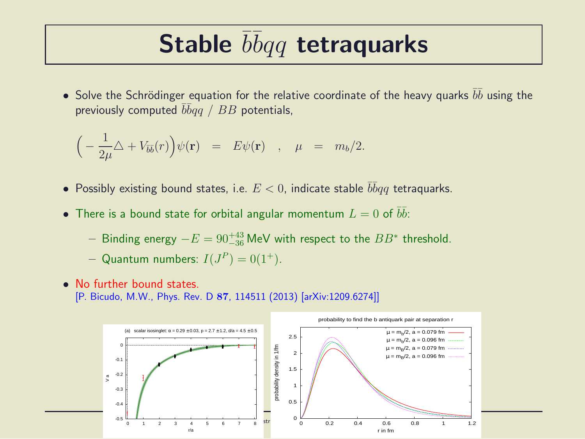## Stable  $\bar{b}\bar{b}qq$  tetraquarks

• Solve the Schrödinger equation for the relative coordinate of the heavy quarks  $\bar{b}\bar{b}$  using the previously computed  $\bar b\bar b qq$  /  $BB$  potentials,

$$
\Big(-\frac{1}{2\mu}\triangle + V_{\overline{b}\overline{b}}(r)\Big)\psi(\mathbf{r}) = E\psi(\mathbf{r}) \quad , \quad \mu = m_b/2.
$$

- Possibly existing bound states, i.e.  $E < 0$ , indicate stable  $\overline{bb}qq$  tetraquarks.
- There is a bound state for orbital angular momentum  $L=0$  of  $\bar{b}\bar{b}$ :
	- $-$  Binding energy  $-E = 90^{+43}_{-36}$  MeV with respect to the  $BB^*$  threshold.
	- Quantum numbers:  $I(J^P) = 0(1^+).$
- No further bound states
	- [P. Bicudo, M.W., Phys. Rev. D 87, 114511 (2013) [arXiv:1209.6274]]

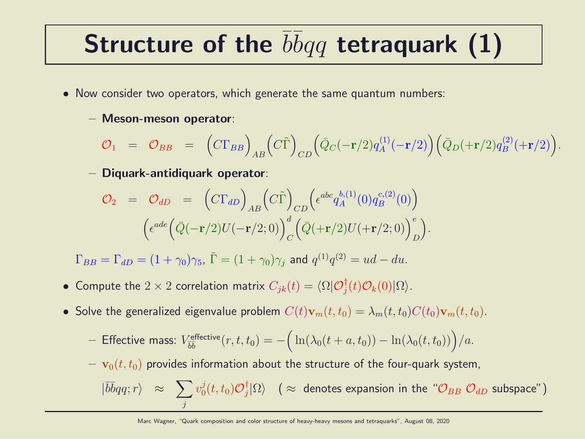# Structure of the  $\bar{b}\bar{b}qq$  tetraquark (1)

- Now consider two operators, which generate the same quantum numbers:
	- Meson-meson operator:

$$
\mathcal{O}_1 = \mathcal{O}_{BB} = \left( C \Gamma_{BB} \right)_{AB} \left( C \tilde{\Gamma} \right)_{CD} \left( \bar{Q}_C (-\mathbf{r}/2) q_A^{(1)} (-\mathbf{r}/2) \right) \left( \bar{Q}_D (+\mathbf{r}/2) q_B^{(2)} (+\mathbf{r}/2) \right).
$$

– Diquark-antidiquark operator:

$$
\mathcal{O}_2 = \mathcal{O}_{dD} = (C\Gamma_{dD})_{AB} (C\tilde{\Gamma})_{CD} (\epsilon^{abc} q_A^{b,(1)}(0) q_B^{c,(2)}(0))
$$

$$
(\epsilon^{ade} (\bar{Q}(-\mathbf{r}/2)U(-\mathbf{r}/2;0))_{C}^d (\bar{Q}(\mathbf{+r}/2)U(\mathbf{+r}/2;0))_{D}^e).
$$

 $\Gamma_{BB} = \Gamma_{dD} = (1+\gamma_0)\gamma_5$ ,  $\tilde{\Gamma} = (1+\gamma_0)\gamma_j$  and  $q^{(1)}q^{(2)} = ud - du$ .

- Compute the  $2\times 2$  correlation matrix  $C_{jk}(t) = \langle \Omega | \mathcal{O}^{\dagger}_j$  $\langle j(t) \mathcal{O}_k(0) | \Omega \rangle$ .
- Solve the generalized eigenvalue problem  $C(t)\mathbf{v}_m(t, t_0) = \lambda_m(t, t_0)C(t_0)\mathbf{v}_m(t, t_0)$ .

- Effective mass: 
$$
V_{\bar{b}\bar{b}}^{\text{effective}}(r, t, t_0) = -\Big(\ln(\lambda_0(t + a, t_0)) - \ln(\lambda_0(t, t_0))\Big)/a.
$$

 $\mathbf{v}_0(t, t_0)$  provides information about the structure of the four-quark system,

$$
|\overline{b}\overline{b}qq;r\rangle \approx \sum_j v_0^j(t,t_0) \mathcal{O}_j^{\dagger}|\Omega\rangle \quad (\approx \text{ denotes expansion in the ``\mathcal{O}_{BB} \ \mathcal{O}_{dD} \ \text{subspace''})
$$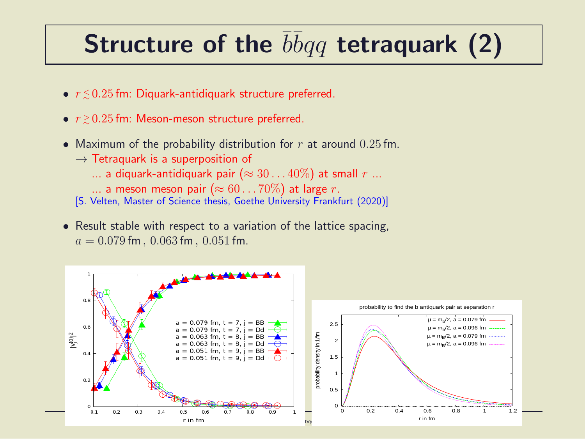# Structure of the  $\bar{b}\bar{b}qq$  tetraquark (2)

- $\bullet$   $r \lesssim 0.25$  fm: Diquark-antidiquark structure preferred.
- $\bullet$   $r \gtrsim 0.25$  fm: Meson-meson structure preferred.
- Maximum of the probability distribution for  $r$  at around  $0.25$  fm.
	- $\rightarrow$  Tetraquark is a superposition of
		- ... a diquark-antidiquark pair ( $\approx 30...40\%$ ) at small r ...
		- ... a meson meson pair ( $\approx 60...70\%$ ) at large r.
	- [S. Velten, Master of Science thesis, Goethe University Frankfurt (2020)]
- Result stable with respect to a variation of the lattice spacing,  $a = 0.079$  fm,  $0.063$  fm,  $0.051$  fm.

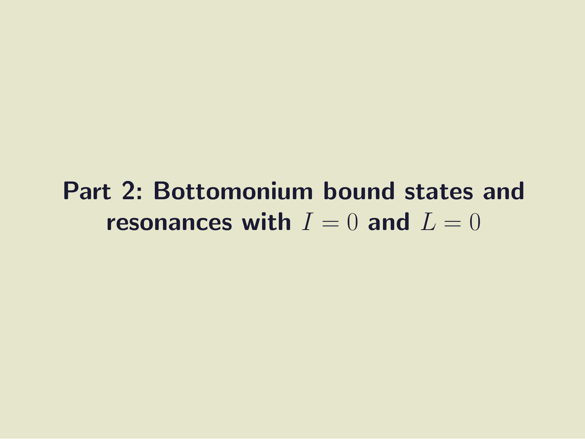#### Part 2: Bottomonium bound states and resonances with  $I = 0$  and  $L = 0$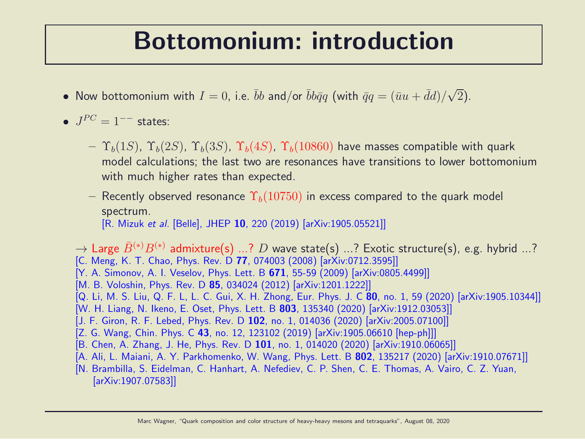#### Bottomonium: introduction

- Now bottomonium with  $I=0$ , i.e.  $\bar{b}b$  and/or  $\bar{b}b\bar{q}q$  (with  $\bar{q}q=(\bar{u}u+\bar{d}d)/\sqrt{2}$ ).
- $J^{PC} = 1^{--}$  states:
	- $-\Upsilon_b(1S)$ ,  $\Upsilon_b(2S)$ ,  $\Upsilon_b(3S)$ ,  $\Upsilon_b(4S)$ ,  $\Upsilon_b(10860)$  have masses compatible with quark model calculations; the last two are resonances have transitions to lower bottomonium with much higher rates than expected.
	- Recently observed resonance  $\Upsilon_b(10750)$  in excess compared to the quark model spectrum. [R. Mizuk et al. [Belle], JHEP 10, 220 (2019) [arXiv:1905.05521]]

 $\rightarrow$  Large  $\bar{B}^{(*)}B^{(*)}$  admixture(s) ...? D wave state(s) ...? Exotic structure(s), e.g. hybrid ...? [C. Meng, K. T. Chao, Phys. Rev. D 77, 074003 (2008) [arXiv:0712.3595]] [Y. A. Simonov, A. I. Veselov, Phys. Lett. B 671, 55-59 (2009) [arXiv:0805.4499]] [M. B. Voloshin, Phys. Rev. D 85, 034024 (2012) [arXiv:1201.1222]] [Q. Li, M. S. Liu, Q. F. L, L. C. Gui, X. H. Zhong, Eur. Phys. J. C 80, no. 1, 59 (2020) [arXiv:1905.10344]] [W. H. Liang, N. Ikeno, E. Oset, Phys. Lett. B 803, 135340 (2020) [arXiv:1912.03053]] [J. F. Giron, R. F. Lebed, Phys. Rev. D 102, no. 1, 014036 (2020) [arXiv:2005.07100]] [Z. G. Wang, Chin. Phys. C 43, no. 12, 123102 (2019) [arXiv:1905.06610 [hep-ph]]] [B. Chen, A. Zhang, J. He, Phys. Rev. D 101, no. 1, 014020 (2020) [arXiv:1910.06065]] [A. Ali, L. Maiani, A. Y. Parkhomenko, W. Wang, Phys. Lett. B 802, 135217 (2020) [arXiv:1910.07671]] [N. Brambilla, S. Eidelman, C. Hanhart, A. Nefediev, C. P. Shen, C. E. Thomas, A. Vairo, C. Z. Yuan, [arXiv:1907.07583]]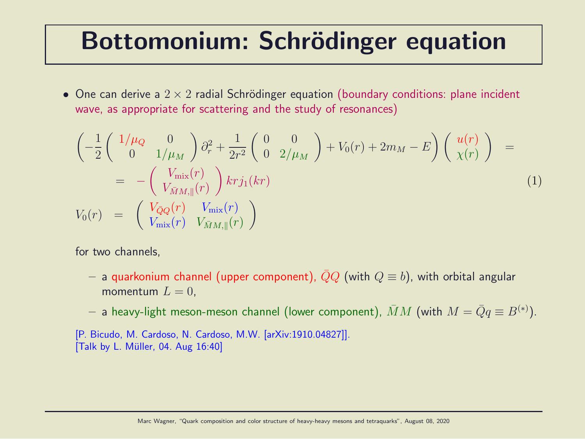### Bottomonium: Schrödinger equation

• One can derive a  $2 \times 2$  radial Schrödinger equation (boundary conditions: plane incident wave, as appropriate for scattering and the study of resonances)

$$
\begin{aligned}\n&\left(-\frac{1}{2}\begin{pmatrix} 1/\mu_Q & 0\\ 0 & 1/\mu_M \end{pmatrix}\partial_r^2 + \frac{1}{2r^2}\begin{pmatrix} 0 & 0\\ 0 & 2/\mu_M \end{pmatrix} + V_0(r) + 2m_M - E\right)\begin{pmatrix} u(r)\\ \chi(r) \end{pmatrix} &= \\
&= -\begin{pmatrix} V_{\text{mix}}(r)\\ V_{\bar{M}M, \parallel}(r) \end{pmatrix} krj_1(kr) \\
V_0(r) &= \begin{pmatrix} V_{\bar{Q}Q}(r) & V_{\text{mix}}(r)\\ V_{\text{mix}}(r) & V_{\bar{M}M, \parallel}(r) \end{pmatrix}\n\end{aligned} \tag{1}
$$

for two channels,

– a quarkonium channel (upper component),  $\overline{Q}Q$  (with  $Q \equiv b$ ), with orbital angular momentum  $L = 0$ .

 $-$  a heavy-light meson-meson channel (lower component),  $\bar{M}M$  (with  $M=\bar{Q}q\equiv B^{(*)}).$ 

[P. Bicudo, M. Cardoso, N. Cardoso, M.W. [arXiv:1910.04827]].  $[Talk by L. Müller, 04. Aug 16:40]$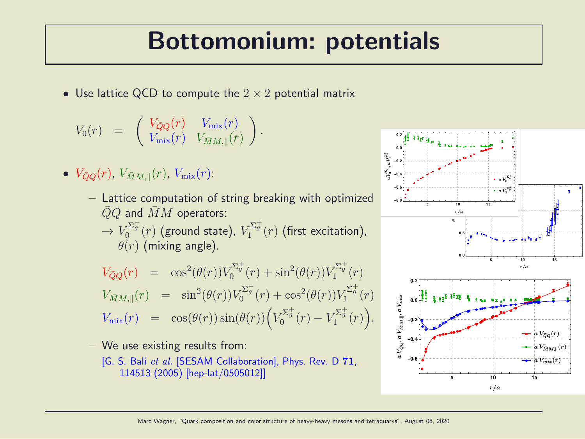### Bottomonium: potentials

• Use lattice QCD to compute the  $2 \times 2$  potential matrix

$$
V_0(r) = \begin{pmatrix} V_{\bar{Q}Q}(r) & V_{\text{mix}}(r) \\ V_{\text{mix}}(r) & V_{\bar{M}M, \parallel}(r) \end{pmatrix}.
$$

- $\bullet \ \ V_{\bar{Q}Q}(r)$ ,  $V_{\bar{M}M, ||}(r)$ ,  $V_{\text{mix}}(r)$ :
	- Lattice computation of string breaking with optimized  $QQ$  and  $MM$  operators:  $\rightarrow V_0^{\Sigma_g^+}(r)$  (ground state),  $V_1^{\Sigma_g^+}(r)$  (first excitation),  $\theta(r)$  (mixing angle).

$$
V_{\bar{Q}Q}(r) = \cos^2(\theta(r))V_0^{\Sigma_g^+}(r) + \sin^2(\theta(r))V_1^{\Sigma_g^+}(r)
$$
  
\n
$$
V_{\bar{M}M,\parallel}(r) = \sin^2(\theta(r))V_0^{\Sigma_g^+}(r) + \cos^2(\theta(r))V_1^{\Sigma_g^+}(r)
$$
  
\n
$$
V_{\rm mix}(r) = \cos(\theta(r))\sin(\theta(r))\left(V_0^{\Sigma_g^+}(r) - V_1^{\Sigma_g^+}(r)\right).
$$

– We use existing results from:

[G. S. Bali et al. [SESAM Collaboration], Phys. Rev. D 71, 114513 (2005) [hep-lat/0505012]]

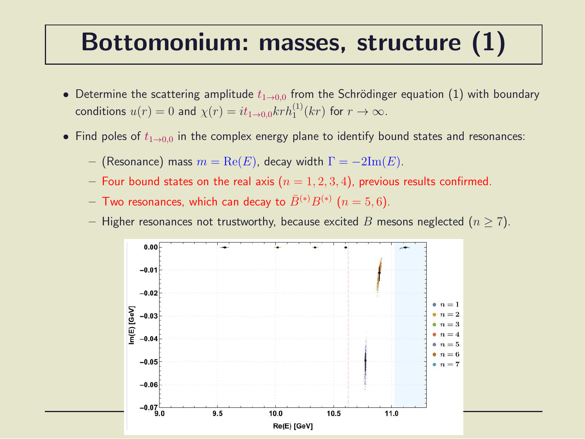#### Bottomonium: masses, structure (1)

- Determine the scattering amplitude  $t_{1\rightarrow 0.0}$  from the Schrödinger equation (1) with boundary conditions  $u(r) = 0$  and  $\chi(r) = it_{1\to 0,0} k r h_1^{(1)}(kr)$  for  $r \to \infty$ .
- Find poles of  $t_{1\rightarrow0.0}$  in the complex energy plane to identify bound states and resonances:
	- (Resonance) mass  $m = \text{Re}(E)$ , decay width  $\Gamma = -2\text{Im}(E)$ .
	- Four bound states on the real axis  $(n = 1, 2, 3, 4)$ , previous results confirmed.
	- $-$  Two resonances, which can decay to  $\bar{B}^{(*)}B^{(*)}$   $(n=5,6).$
	- Higher resonances not trustworthy, because excited B mesons neglected ( $n \ge 7$ ).

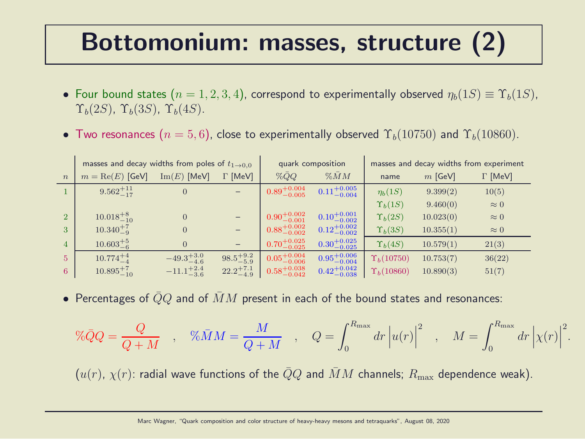### Bottomonium: masses, structure (2)

- Four bound states  $(n = 1, 2, 3, 4)$ , correspond to experimentally observed  $\eta_b(1S) \equiv \Upsilon_b(1S)$ ,  $\Upsilon_b(2S)$ ,  $\Upsilon_b(3S)$ ,  $\Upsilon_b(4S)$ .
- Two resonances  $(n = 5, 6)$ , close to experimentally observed  $\Upsilon_b(10750)$  and  $\Upsilon_b(10860)$ .

|                  | masses and decay widths from poles of $t_{1\rightarrow0.0}$ |                       |                      | quark composition        |                          | masses and decay widths from experiment |           |                |
|------------------|-------------------------------------------------------------|-----------------------|----------------------|--------------------------|--------------------------|-----------------------------------------|-----------|----------------|
| $\boldsymbol{n}$ | $m = \text{Re}(E)$ [GeV]                                    | $\text{Im}(E)$ [MeV]  | $\Gamma$ [MeV]       | $\%QQ$                   | $\%$ $\overline{M}$ $M$  | name                                    | $m$ [GeV] | $\Gamma$ [MeV] |
|                  | $9.562^{+11}_{-17}$                                         | $\overline{0}$        |                      | $0.89^{+0.004}_{-0.005}$ | $0.11^{+0.005}_{-0.004}$ | $\eta_b(1S)$                            | 9.399(2)  | 10(5)          |
|                  |                                                             |                       |                      |                          |                          | $\Upsilon_b(1S)$                        | 9.460(0)  | $\approx 0$    |
| $\overline{2}$   | $10.018^{+8}_{-10}$                                         | $\overline{0}$        |                      | $0.90^{+0.002}_{-0.001}$ | $0.10^{+0.001}_{-0.002}$ | $\Upsilon_b(2S)$                        | 10.023(0) | $\approx 0$    |
| 3                | $10.340^{+7}_{-9}$                                          | $\overline{0}$        |                      | $0.88^{+0.002}_{-0.002}$ | $0.12^{+0.002}_{-0.002}$ | $\Upsilon_b(3S)$                        | 10.355(1) | $\approx 0$    |
| $\overline{4}$   | $10.603^{+5}_{-6}$                                          | $\Omega$              |                      | $0.70^{+0.025}_{-0.025}$ | $0.30^{+0.025}_{-0.025}$ | $\Upsilon_b(4S)$                        | 10.579(1) | 21(3)          |
| 5                | $10.774_{-4}^{+4}$                                          | $-49.3^{+3.0}_{-4.6}$ | $98.5^{+9.2}_{-5.9}$ | $0.05^{+0.004}_{-0.006}$ | $0.95^{+0.006}_{-0.004}$ | $\Upsilon_b(10750)$                     | 10.753(7) | 36(22)         |
| 6                | $10.895^{+7}_{-10}$                                         | $-11.1^{+2.4}_{-3.6}$ | $22.2^{+7.1}_{-4.9}$ | $0.58^{+0.038}_{-0.042}$ | $0.42^{+0.042}_{-0.038}$ | $\Upsilon_b(10860)$                     | 10.890(3) | 51(7)          |

• Percentages of  $\bar{Q}Q$  and of  $\bar{M}M$  present in each of the bound states and resonances:

$$
\% \bar{Q}Q = \frac{Q}{Q+M} \quad , \quad \% \bar{M}M = \frac{M}{Q+M} \quad , \quad Q = \int_0^{R_{\text{max}}} dr \left| u(r) \right|^2 \quad , \quad M = \int_0^{R_{\text{max}}} dr \left| \chi(r) \right|^2.
$$

 $(u(r), \chi(r))$ : radial wave functions of the  $\overline{Q}Q$  and  $\overline{M}M$  channels;  $R_{\text{max}}$  dependence weak).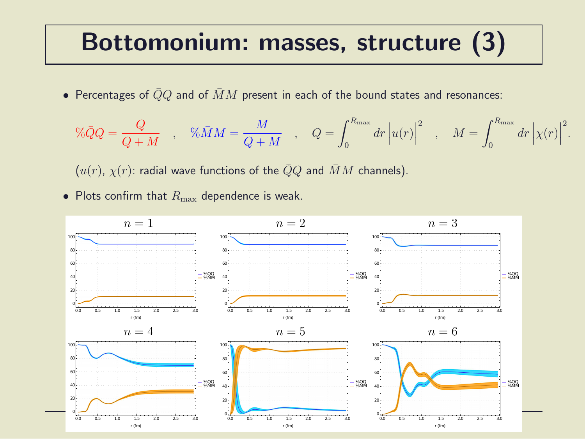#### Bottomonium: masses, structure (3)

• Percentages of  $\bar{Q}Q$  and of  $\bar{M}M$  present in each of the bound states and resonances:

$$
\% \bar{Q}Q = \frac{Q}{Q+M} \quad , \quad \% \bar{M}M = \frac{M}{Q+M} \quad , \quad Q = \int_0^{R_{\text{max}}} dr \left| u(r) \right|^2 \quad , \quad M = \int_0^{R_{\text{max}}} dr \left| \chi(r) \right|^2
$$

.

 $(u(r), \chi(r))$ : radial wave functions of the  $\overline{Q}Q$  and  $\overline{M}M$  channels).

• Plots confirm that  $R_{\text{max}}$  dependence is weak.